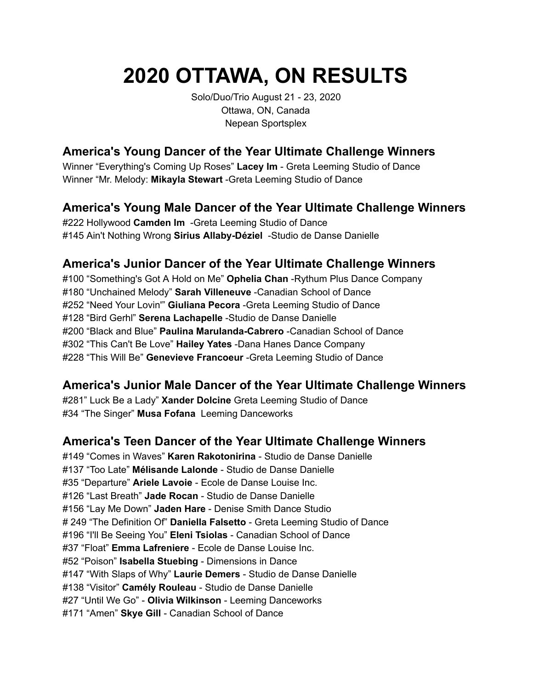# **2020 OTTAWA, ON RESULTS**

Solo/Duo/Trio August 21 - 23, 2020 Ottawa, ON, Canada Nepean Sportsplex

## **America's Young Dancer of the Year Ultimate Challenge Winners**

Winner "Everything's Coming Up Roses" **Lacey Im** - Greta Leeming Studio of Dance Winner "Mr. Melody: **Mikayla Stewart** -Greta Leeming Studio of Dance

#### **America's Young Male Dancer of the Year Ultimate Challenge Winners**

#222 Hollywood **Camden Im** -Greta Leeming Studio of Dance #145 Ain't Nothing Wrong **Sirius Allaby-Déziel** -Studio de Danse Danielle

#### **America's Junior Dancer of the Year Ultimate Challenge Winners**

#100 "Something's Got A Hold on Me" **Ophelia Chan** -Rythum Plus Dance Company #180 "Unchained Melody" **Sarah Villeneuve** -Canadian School of Dance #252 "Need Your Lovin'" **Giuliana Pecora** -Greta Leeming Studio of Dance #128 "Bird Gerhl" **Serena Lachapelle** -Studio de Danse Danielle #200 "Black and Blue" **Paulina Marulanda-Cabrero** -Canadian School of Dance #302 "This Can't Be Love" **Hailey Yates** -Dana Hanes Dance Company #228 "This Will Be" **Genevieve Francoeur** -Greta Leeming Studio of Dance

#### **America's Junior Male Dancer of the Year Ultimate Challenge Winners**

#281" Luck Be a Lady" **Xander Dolcine** Greta Leeming Studio of Dance #34 "The Singer" **Musa Fofana** Leeming Danceworks

## **America's Teen Dancer of the Year Ultimate Challenge Winners**

#149 "Comes in Waves" **Karen Rakotonirina** - Studio de Danse Danielle #137 "Too Late" **Mélisande Lalonde** - Studio de Danse Danielle #35 "Departure" **Ariele Lavoie** - Ecole de Danse Louise Inc. #126 "Last Breath" **Jade Rocan** - Studio de Danse Danielle #156 "Lay Me Down" **Jaden Hare** - Denise Smith Dance Studio # 249 "The Definition Of" **Daniella Falsetto** - Greta Leeming Studio of Dance #196 "I'll Be Seeing You" **Eleni Tsiolas** - Canadian School of Dance #37 "Float" **Emma Lafreniere** - Ecole de Danse Louise Inc. #52 "Poison" **Isabella Stuebing** - Dimensions in Dance #147 "With Slaps of Why" **Laurie Demers** - Studio de Danse Danielle #138 "Visitor" **Camély Rouleau** - Studio de Danse Danielle #27 "Until We Go" - **Olivia Wilkinson** - Leeming Danceworks #171 "Amen" **Skye Gill** - Canadian School of Dance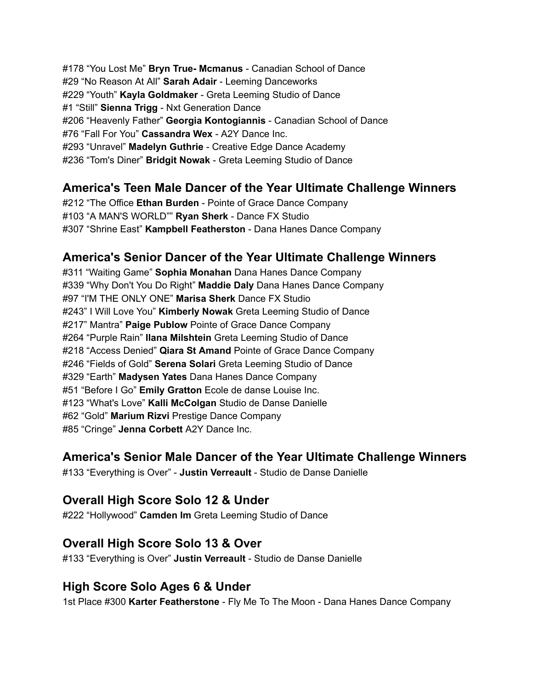#178 "You Lost Me" **Bryn True- Mcmanus** - Canadian School of Dance #29 "No Reason At All" **Sarah Adair** - Leeming Danceworks #229 "Youth" **Kayla Goldmaker** - Greta Leeming Studio of Dance #1 "Still" **Sienna Trigg** - Nxt Generation Dance #206 "Heavenly Father" **Georgia Kontogiannis** - Canadian School of Dance #76 "Fall For You" **Cassandra Wex** - A2Y Dance Inc. #293 "Unravel" **Madelyn Guthrie** - Creative Edge Dance Academy #236 "Tom's Diner" **Bridgit Nowak** - Greta Leeming Studio of Dance

#### **America's Teen Male Dancer of the Year Ultimate Challenge Winners**

#212 "The Office **Ethan Burden** - Pointe of Grace Dance Company #103 "A MAN'S WORLD"" **Ryan Sherk** - Dance FX Studio #307 "Shrine East" **Kampbell Featherston** - Dana Hanes Dance Company

#### **America's Senior Dancer of the Year Ultimate Challenge Winners**

#311 "Waiting Game" **Sophia Monahan** Dana Hanes Dance Company #339 "Why Don't You Do Right" **Maddie Daly** Dana Hanes Dance Company #97 "I'M THE ONLY ONE" **Marisa Sherk** Dance FX Studio #243" I Will Love You" **Kimberly Nowak** Greta Leeming Studio of Dance #217" Mantra" **Paige Publow** Pointe of Grace Dance Company #264 "Purple Rain" **Ilana Milshtein** Greta Leeming Studio of Dance #218 "Access Denied" **Qiara St Amand** Pointe of Grace Dance Company #246 "Fields of Gold" **Serena Solari** Greta Leeming Studio of Dance #329 "Earth" **Madysen Yates** Dana Hanes Dance Company #51 "Before I Go" **Emily Gratton** Ecole de danse Louise Inc. #123 "What's Love" **Kalli McColgan** Studio de Danse Danielle #62 "Gold" **Marium Rizvi** Prestige Dance Company #85 "Cringe" **Jenna Corbett** A2Y Dance Inc.

#### **America's Senior Male Dancer of the Year Ultimate Challenge Winners**

#133 "Everything is Over" - **Justin Verreault** - Studio de Danse Danielle

## **Overall High Score Solo 12 & Under**

#222 "Hollywood" **Camden Im** Greta Leeming Studio of Dance

#### **Overall High Score Solo 13 & Over**

#133 "Everything is Over" **Justin Verreault** - Studio de Danse Danielle

#### **High Score Solo Ages 6 & Under**

1st Place #300 **Karter Featherstone** - Fly Me To The Moon - Dana Hanes Dance Company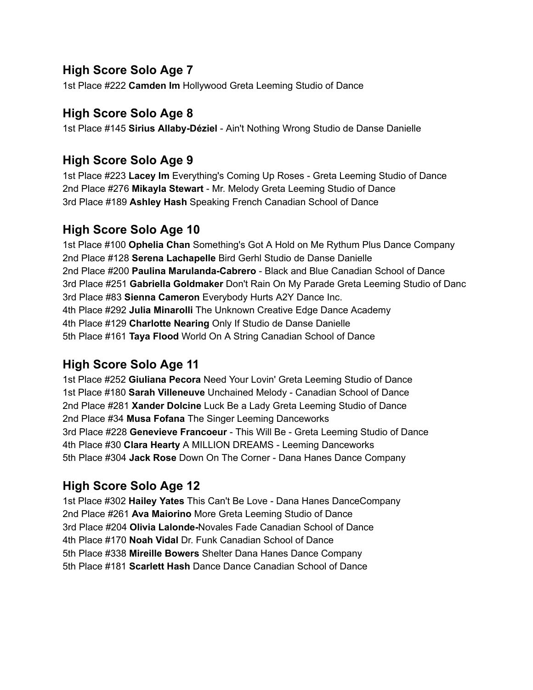## **High Score Solo Age 7**

1st Place #222 **Camden Im** Hollywood Greta Leeming Studio of Dance

#### **High Score Solo Age 8**

1st Place #145 **Sirius Allaby-Déziel** - Ain't Nothing Wrong Studio de Danse Danielle

#### **High Score Solo Age 9**

1st Place #223 **Lacey Im** Everything's Coming Up Roses - Greta Leeming Studio of Dance 2nd Place #276 **Mikayla Stewart** - Mr. Melody Greta Leeming Studio of Dance 3rd Place #189 **Ashley Hash** Speaking French Canadian School of Dance

## **High Score Solo Age 10**

1st Place #100 **Ophelia Chan** Something's Got A Hold on Me Rythum Plus Dance Company 2nd Place #128 **Serena Lachapelle** Bird Gerhl Studio de Danse Danielle 2nd Place #200 **Paulina Marulanda-Cabrero** - Black and Blue Canadian School of Dance 3rd Place #251 **Gabriella Goldmaker** Don't Rain On My Parade Greta Leeming Studio of Danc 3rd Place #83 **Sienna Cameron** Everybody Hurts A2Y Dance Inc. 4th Place #292 **Julia Minarolli** The Unknown Creative Edge Dance Academy 4th Place #129 **Charlotte Nearing** Only If Studio de Danse Danielle 5th Place #161 **Taya Flood** World On A String Canadian School of Dance

## **High Score Solo Age 11**

1st Place #252 **Giuliana Pecora** Need Your Lovin' Greta Leeming Studio of Dance 1st Place #180 **Sarah Villeneuve** Unchained Melody - Canadian School of Dance 2nd Place #281 **Xander Dolcine** Luck Be a Lady Greta Leeming Studio of Dance 2nd Place #34 **Musa Fofana** The Singer Leeming Danceworks 3rd Place #228 **Genevieve Francoeur** - This Will Be - Greta Leeming Studio of Dance 4th Place #30 **Clara Hearty** A MILLION DREAMS - Leeming Danceworks 5th Place #304 **Jack Rose** Down On The Corner - Dana Hanes Dance Company

## **High Score Solo Age 12**

1st Place #302 **Hailey Yates** This Can't Be Love - Dana Hanes DanceCompany 2nd Place #261 **Ava Maiorino** More Greta Leeming Studio of Dance 3rd Place #204 **Olivia Lalonde-**Novales Fade Canadian School of Dance 4th Place #170 **Noah Vidal** Dr. Funk Canadian School of Dance 5th Place #338 **Mireille Bowers** Shelter Dana Hanes Dance Company 5th Place #181 **Scarlett Hash** Dance Dance Canadian School of Dance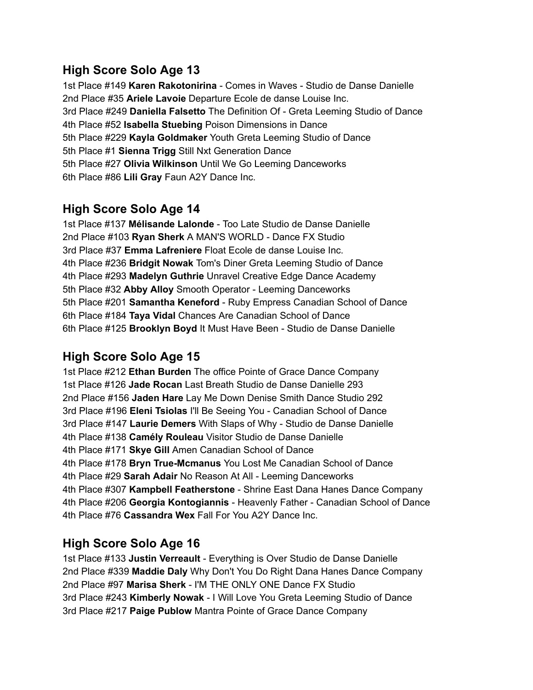## **High Score Solo Age 13**

1st Place #149 **Karen Rakotonirina** - Comes in Waves - Studio de Danse Danielle 2nd Place #35 **Ariele Lavoie** Departure Ecole de danse Louise Inc. 3rd Place #249 **Daniella Falsetto** The Definition Of - Greta Leeming Studio of Dance 4th Place #52 **Isabella Stuebing** Poison Dimensions in Dance 5th Place #229 **Kayla Goldmaker** Youth Greta Leeming Studio of Dance 5th Place #1 **Sienna Trigg** Still Nxt Generation Dance 5th Place #27 **Olivia Wilkinson** Until We Go Leeming Danceworks 6th Place #86 **Lili Gray** Faun A2Y Dance Inc.

#### **High Score Solo Age 14**

1st Place #137 **Mélisande Lalonde** - Too Late Studio de Danse Danielle 2nd Place #103 **Ryan Sherk** A MAN'S WORLD - Dance FX Studio 3rd Place #37 **Emma Lafreniere** Float Ecole de danse Louise Inc. 4th Place #236 **Bridgit Nowak** Tom's Diner Greta Leeming Studio of Dance 4th Place #293 **Madelyn Guthrie** Unravel Creative Edge Dance Academy 5th Place #32 **Abby Alloy** Smooth Operator - Leeming Danceworks 5th Place #201 **Samantha Keneford** - Ruby Empress Canadian School of Dance 6th Place #184 **Taya Vidal** Chances Are Canadian School of Dance 6th Place #125 **Brooklyn Boyd** It Must Have Been - Studio de Danse Danielle

## **High Score Solo Age 15**

1st Place #212 **Ethan Burden** The office Pointe of Grace Dance Company 1st Place #126 **Jade Rocan** Last Breath Studio de Danse Danielle 293 2nd Place #156 **Jaden Hare** Lay Me Down Denise Smith Dance Studio 292 3rd Place #196 **Eleni Tsiolas** I'll Be Seeing You - Canadian School of Dance 3rd Place #147 **Laurie Demers** With Slaps of Why - Studio de Danse Danielle 4th Place #138 **Camély Rouleau** Visitor Studio de Danse Danielle 4th Place #171 **Skye Gill** Amen Canadian School of Dance 4th Place #178 **Bryn True-Mcmanus** You Lost Me Canadian School of Dance 4th Place #29 **Sarah Adair** No Reason At All - Leeming Danceworks 4th Place #307 **Kampbell Featherstone** - Shrine East Dana Hanes Dance Company 4th Place #206 **Georgia Kontogiannis** - Heavenly Father - Canadian School of Dance 4th Place #76 **Cassandra Wex** Fall For You A2Y Dance Inc.

#### **High Score Solo Age 16**

1st Place #133 **Justin Verreault** - Everything is Over Studio de Danse Danielle 2nd Place #339 **Maddie Daly** Why Don't You Do Right Dana Hanes Dance Company 2nd Place #97 **Marisa Sherk** - I'M THE ONLY ONE Dance FX Studio 3rd Place #243 **Kimberly Nowak** - I Will Love You Greta Leeming Studio of Dance 3rd Place #217 **Paige Publow** Mantra Pointe of Grace Dance Company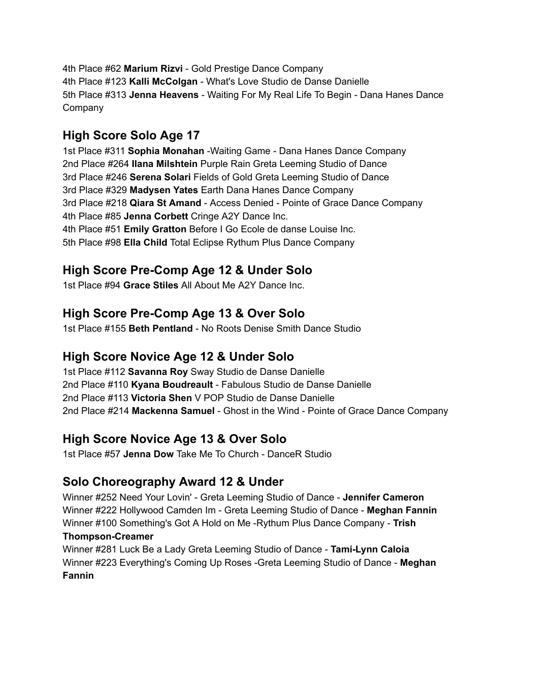4th Place #62 **Marium Rizvi** - Gold Prestige Dance Company 4th Place #123 **Kalli McColgan** - What's Love Studio de Danse Danielle 5th Place #313 **Jenna Heavens** - Waiting For My Real Life To Begin - Dana Hanes Dance Company

## **High Score Solo Age 17**

1st Place #311 **Sophia Monahan** -Waiting Game - Dana Hanes Dance Company 2nd Place #264 **Ilana Milshtein** Purple Rain Greta Leeming Studio of Dance 3rd Place #246 **Serena Solari** Fields of Gold Greta Leeming Studio of Dance 3rd Place #329 **Madysen Yates** Earth Dana Hanes Dance Company 3rd Place #218 **Qiara St Amand** - Access Denied - Pointe of Grace Dance Company 4th Place #85 **Jenna Corbett** Cringe A2Y Dance Inc. 4th Place #51 **Emily Gratton** Before I Go Ecole de danse Louise Inc. 5th Place #98 **Ella Child** Total Eclipse Rythum Plus Dance Company

## **High Score Pre-Comp Age 12 & Under Solo**

1st Place #94 **Grace Stiles** All About Me A2Y Dance Inc.

## **High Score Pre-Comp Age 13 & Over Solo**

1st Place #155 **Beth Pentland** - No Roots Denise Smith Dance Studio

## **High Score Novice Age 12 & Under Solo**

1st Place #112 **Savanna Roy** Sway Studio de Danse Danielle 2nd Place #110 **Kyana Boudreault** - Fabulous Studio de Danse Danielle 2nd Place #113 **Victoria Shen** V POP Studio de Danse Danielle 2nd Place #214 **Mackenna Samuel** - Ghost in the Wind - Pointe of Grace Dance Company

## **High Score Novice Age 13 & Over Solo**

1st Place #57 **Jenna Dow** Take Me To Church - DanceR Studio

## **Solo Choreography Award 12 & Under**

Winner #252 Need Your Lovin' - Greta Leeming Studio of Dance - **Jennifer Cameron** Winner #222 Hollywood Camden Im - Greta Leeming Studio of Dance - **Meghan Fannin** Winner #100 Something's Got A Hold on Me -Rythum Plus Dance Company - **Trish**

#### **Thompson-Creamer**

Winner #281 Luck Be a Lady Greta Leeming Studio of Dance - **Tami-Lynn Caloia** Winner #223 Everything's Coming Up Roses -Greta Leeming Studio of Dance - **Meghan Fannin**